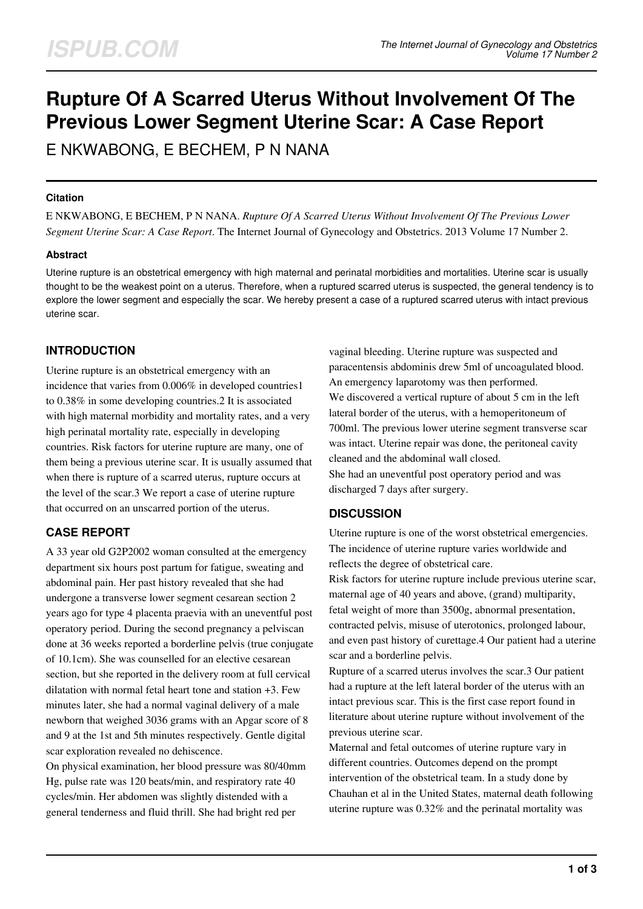# **Rupture Of A Scarred Uterus Without Involvement Of The Previous Lower Segment Uterine Scar: A Case Report**

E NKWABONG, E BECHEM, P N NANA

## **Citation**

E NKWABONG, E BECHEM, P N NANA. *Rupture Of A Scarred Uterus Without Involvement Of The Previous Lower Segment Uterine Scar: A Case Report*. The Internet Journal of Gynecology and Obstetrics. 2013 Volume 17 Number 2.

## **Abstract**

Uterine rupture is an obstetrical emergency with high maternal and perinatal morbidities and mortalities. Uterine scar is usually thought to be the weakest point on a uterus. Therefore, when a ruptured scarred uterus is suspected, the general tendency is to explore the lower segment and especially the scar. We hereby present a case of a ruptured scarred uterus with intact previous uterine scar.

# **INTRODUCTION**

Uterine rupture is an obstetrical emergency with an incidence that varies from 0.006% in developed countries1 to 0.38% in some developing countries.2 It is associated with high maternal morbidity and mortality rates, and a very high perinatal mortality rate, especially in developing countries. Risk factors for uterine rupture are many, one of them being a previous uterine scar. It is usually assumed that when there is rupture of a scarred uterus, rupture occurs at the level of the scar.3 We report a case of uterine rupture that occurred on an unscarred portion of the uterus.

# **CASE REPORT**

A 33 year old G2P2002 woman consulted at the emergency department six hours post partum for fatigue, sweating and abdominal pain. Her past history revealed that she had undergone a transverse lower segment cesarean section 2 years ago for type 4 placenta praevia with an uneventful post operatory period. During the second pregnancy a pelviscan done at 36 weeks reported a borderline pelvis (true conjugate of 10.1cm). She was counselled for an elective cesarean section, but she reported in the delivery room at full cervical dilatation with normal fetal heart tone and station +3. Few minutes later, she had a normal vaginal delivery of a male newborn that weighed 3036 grams with an Apgar score of 8 and 9 at the 1st and 5th minutes respectively. Gentle digital scar exploration revealed no dehiscence.

On physical examination, her blood pressure was 80/40mm Hg, pulse rate was 120 beats/min, and respiratory rate 40 cycles/min. Her abdomen was slightly distended with a general tenderness and fluid thrill. She had bright red per

vaginal bleeding. Uterine rupture was suspected and paracentensis abdominis drew 5ml of uncoagulated blood. An emergency laparotomy was then performed. We discovered a vertical rupture of about 5 cm in the left lateral border of the uterus, with a hemoperitoneum of 700ml. The previous lower uterine segment transverse scar was intact. Uterine repair was done, the peritoneal cavity cleaned and the abdominal wall closed. She had an uneventful post operatory period and was discharged 7 days after surgery.

## **DISCUSSION**

Uterine rupture is one of the worst obstetrical emergencies. The incidence of uterine rupture varies worldwide and reflects the degree of obstetrical care.

Risk factors for uterine rupture include previous uterine scar, maternal age of 40 years and above, (grand) multiparity, fetal weight of more than 3500g, abnormal presentation, contracted pelvis, misuse of uterotonics, prolonged labour, and even past history of curettage.4 Our patient had a uterine scar and a borderline pelvis.

Rupture of a scarred uterus involves the scar.3 Our patient had a rupture at the left lateral border of the uterus with an intact previous scar. This is the first case report found in literature about uterine rupture without involvement of the previous uterine scar.

Maternal and fetal outcomes of uterine rupture vary in different countries. Outcomes depend on the prompt intervention of the obstetrical team. In a study done by Chauhan et al in the United States, maternal death following uterine rupture was 0.32% and the perinatal mortality was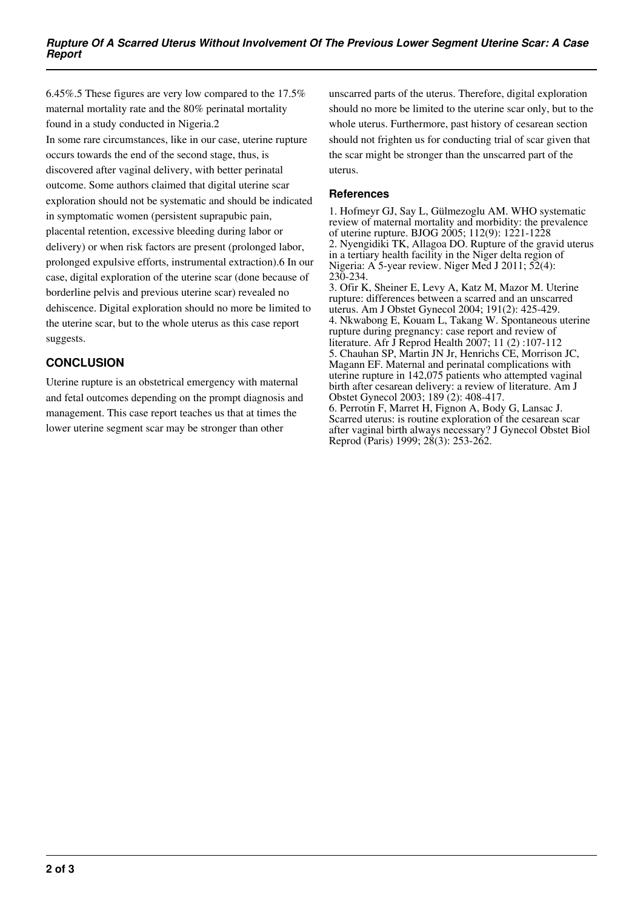6.45%.5 These figures are very low compared to the 17.5% maternal mortality rate and the 80% perinatal mortality found in a study conducted in Nigeria.2 In some rare circumstances, like in our case, uterine rupture occurs towards the end of the second stage, thus, is discovered after vaginal delivery, with better perinatal outcome. Some authors claimed that digital uterine scar exploration should not be systematic and should be indicated in symptomatic women (persistent suprapubic pain, placental retention, excessive bleeding during labor or delivery) or when risk factors are present (prolonged labor, prolonged expulsive efforts, instrumental extraction).6 In our case, digital exploration of the uterine scar (done because of borderline pelvis and previous uterine scar) revealed no dehiscence. Digital exploration should no more be limited to the uterine scar, but to the whole uterus as this case report suggests.

# **CONCLUSION**

Uterine rupture is an obstetrical emergency with maternal and fetal outcomes depending on the prompt diagnosis and management. This case report teaches us that at times the lower uterine segment scar may be stronger than other

unscarred parts of the uterus. Therefore, digital exploration should no more be limited to the uterine scar only, but to the whole uterus. Furthermore, past history of cesarean section should not frighten us for conducting trial of scar given that the scar might be stronger than the unscarred part of the uterus.

## **References**

1. Hofmeyr GJ, Say L, Gülmezoglu AM. WHO systematic review of maternal mortality and morbidity: the prevalence of uterine rupture. BJOG 2005; 112(9): 1221-1228 2. Nyengidiki TK, Allagoa DO. Rupture of the gravid uterus in a tertiary health facility in the Niger delta region of Nigeria: A 5-year review. Niger Med J 2011; 52(4): 230-234.

3. Ofir K, Sheiner E, Levy A, Katz M, Mazor M. Uterine rupture: differences between a scarred and an unscarred uterus. Am J Obstet Gynecol 2004; 191(2): 425-429. 4. Nkwabong E, Kouam L, Takang W. Spontaneous uterine rupture during pregnancy: case report and review of literature. Afr J Reprod Health 2007; 11 (2) :107-112 5. Chauhan SP, Martin JN Jr, Henrichs CE, Morrison JC, Magann EF. Maternal and perinatal complications with uterine rupture in 142,075 patients who attempted vaginal birth after cesarean delivery: a review of literature. Am J Obstet Gynecol 2003; 189 (2): 408-417. 6. Perrotin F, Marret H, Fignon A, Body G, Lansac J. Scarred uterus: is routine exploration of the cesarean scar after vaginal birth always necessary? J Gynecol Obstet Biol Reprod (Paris) 1999; 28(3): 253-262.